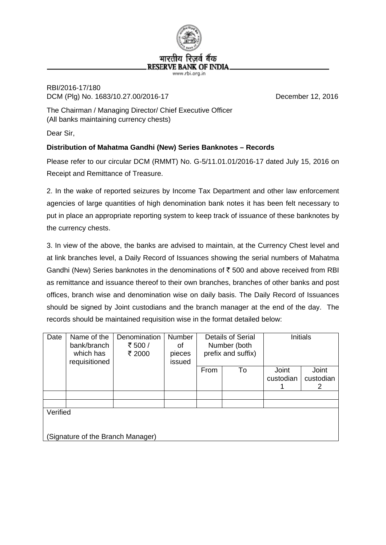

## RBI/2016-17/180 DCM (Plg) No. 1683/10.27.00/2016-17 December 12, 2016

The Chairman / Managing Director/ Chief Executive Officer (All banks maintaining currency chests)

Dear Sir,

## **Distribution of Mahatma Gandhi (New) Series Banknotes – Records**

Please refer to our circular DCM (RMMT) No. G-5/11.01.01/2016-17 dated July 15, 2016 on Receipt and Remittance of Treasure.

2. In the wake of reported seizures by Income Tax Department and other law enforcement agencies of large quantities of high denomination bank notes it has been felt necessary to put in place an appropriate reporting system to keep track of issuance of these banknotes by the currency chests.

3. In view of the above, the banks are advised to maintain, at the Currency Chest level and at link branches level, a Daily Record of Issuances showing the serial numbers of Mahatma Gandhi (New) Series banknotes in the denominations of  $\bar{\tau}$  500 and above received from RBI as remittance and issuance thereof to their own branches, branches of other banks and post offices, branch wise and denomination wise on daily basis. The Daily Record of Issuances should be signed by Joint custodians and the branch manager at the end of the day. The records should be maintained requisition wise in the format detailed below:

| Date                              | Name of the<br>bank/branch<br>which has<br>requisitioned | Denomination<br>₹ 500 /<br>₹ 2000 | <b>Number</b><br>οf<br>pieces<br>issued | Details of Serial<br>Number (both<br>prefix and suffix) |    | Initials           |                    |
|-----------------------------------|----------------------------------------------------------|-----------------------------------|-----------------------------------------|---------------------------------------------------------|----|--------------------|--------------------|
|                                   |                                                          |                                   |                                         | From                                                    | To | Joint<br>custodian | Joint<br>custodian |
|                                   |                                                          |                                   |                                         |                                                         |    |                    | 2                  |
|                                   |                                                          |                                   |                                         |                                                         |    |                    |                    |
|                                   |                                                          |                                   |                                         |                                                         |    |                    |                    |
| Verified                          |                                                          |                                   |                                         |                                                         |    |                    |                    |
|                                   |                                                          |                                   |                                         |                                                         |    |                    |                    |
|                                   |                                                          |                                   |                                         |                                                         |    |                    |                    |
| (Signature of the Branch Manager) |                                                          |                                   |                                         |                                                         |    |                    |                    |